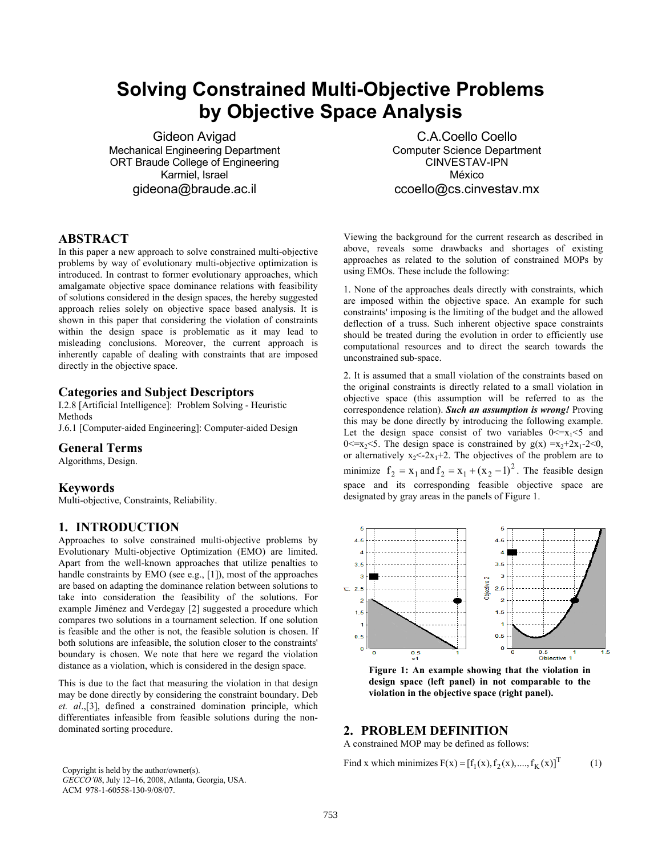# **Solving Constrained Multi-Objective Problems by Objective Space Analysis**

Gideon Avigad Mechanical Engineering Department ORT Braude College of Engineering Karmiel, Israel gideona@braude.ac.il

**ABSTRACT**

In this paper a new approach to solve constrained multi-objective problems by way of evolutionary multi-objective optimization is introduced. In contrast to former evolutionary approaches, which amalgamate objective space dominance relations with feasibility of solutions considered in the design spaces, the hereby suggested approach relies solely on objective space based analysis. It is shown in this paper that considering the violation of constraints within the design space is problematic as it may lead to misleading conclusions. Moreover, the current approach is inherently capable of dealing with constraints that are imposed directly in the objective space.

#### **Categories and Subject Descriptors**

I.2.8 [Artificial Intelligence]: Problem Solving - Heuristic Methods

J.6.1 [Computer-aided Engineering]: Computer-aided Design

## **General Terms**

Algorithms, Design.

#### **Keywords**

Multi-objective, Constraints, Reliability.

## **1. INTRODUCTION**

Approaches to solve constrained multi-objective problems by Evolutionary Multi-objective Optimization (EMO) are limited. Apart from the well-known approaches that utilize penalties to handle constraints by EMO (see e.g., [1]), most of the approaches are based on adapting the dominance relation between solutions to take into consideration the feasibility of the solutions. For example Jiménez and Verdegay [2] suggested a procedure which compares two solutions in a tournament selection. If one solution is feasible and the other is not, the feasible solution is chosen. If both solutions are infeasible, the solution closer to the constraints' boundary is chosen. We note that here we regard the violation distance as a violation, which is considered in the design space.

This is due to the fact that measuring the violation in that design may be done directly by considering the constraint boundary. Deb *et. al*.,[3], defined a constrained domination principle, which differentiates infeasible from feasible solutions during the nondominated sorting procedure.

*GECCO'08*, July 12–16, 2008, Atlanta, Georgia, USA. ACM 978-1-60558-130-9/08/07.

C.A.Coello Coello Computer Science Department CINVESTAV-IPN México ccoello@cs.cinvestav.mx

Viewing the background for the current research as described in above, reveals some drawbacks and shortages of existing approaches as related to the solution of constrained MOPs by using EMOs. These include the following:

1. None of the approaches deals directly with constraints, which are imposed within the objective space. An example for such constraints' imposing is the limiting of the budget and the allowed deflection of a truss. Such inherent objective space constraints should be treated during the evolution in order to efficiently use computational resources and to direct the search towards the unconstrained sub-space.

2. It is assumed that a small violation of the constraints based on the original constraints is directly related to a small violation in objective space (this assumption will be referred to as the correspondence relation). *Such an assumption is wrong!* Proving this may be done directly by introducing the following example. Let the design space consist of two variables  $0 \le x_1 \le 5$  and 0  $\leq$   $x_2$   $\leq$  5. The design space is constrained by  $g(x) = x_2 + 2x_1 - 2 \leq 0$ , or alternatively  $x_2 \leq -2x_1 + 2$ . The objectives of the problem are to minimize  $f_2 = x_1$  and  $f_2 = x_1 + (x_2 - 1)^2$ . The feasible design space and its corresponding feasible objective space are designated by gray areas in the panels of Figure 1.



**Figure 1: An example showing that the violation in design space (left panel) in not comparable to the violation in the objective space (right panel).** 

# **2. PROBLEM DEFINITION**

A constrained MOP may be defined as follows:

Copyright is held by the author/owner(s). Find x which minimizes  $F(x) = [f_1(x), f_2(x), ..., f_K(x)]^T$  (1)